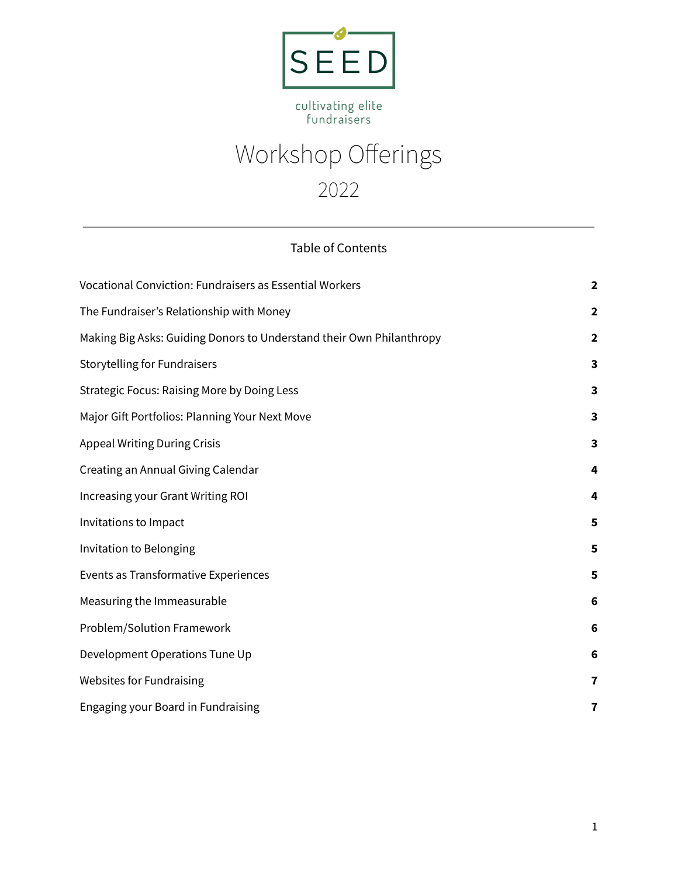

# cultivating elite<br>fundraisers

| Workshop Offerings |
|--------------------|
| 2022               |

# Table of Contents

| Vocational Conviction: Fundraisers as Essential Workers              | $\mathbf{2}$            |
|----------------------------------------------------------------------|-------------------------|
| The Fundraiser's Relationship with Money                             | $\mathbf{2}$            |
| Making Big Asks: Guiding Donors to Understand their Own Philanthropy | $\mathbf{2}$            |
| <b>Storytelling for Fundraisers</b>                                  | $\overline{\mathbf{3}}$ |
| <b>Strategic Focus: Raising More by Doing Less</b>                   | 3                       |
| Major Gift Portfolios: Planning Your Next Move                       | $\overline{\mathbf{3}}$ |
| <b>Appeal Writing During Crisis</b>                                  | 3                       |
| Creating an Annual Giving Calendar                                   | 4                       |
| Increasing your Grant Writing ROI                                    | 4                       |
| Invitations to Impact                                                | 5                       |
| Invitation to Belonging                                              | 5                       |
| Events as Transformative Experiences                                 | 5                       |
| Measuring the Immeasurable                                           | 6                       |
| Problem/Solution Framework                                           | $6\phantom{1}6$         |
| Development Operations Tune Up                                       | 6                       |
| <b>Websites for Fundraising</b>                                      | 7                       |
| Engaging your Board in Fundraising                                   | 7                       |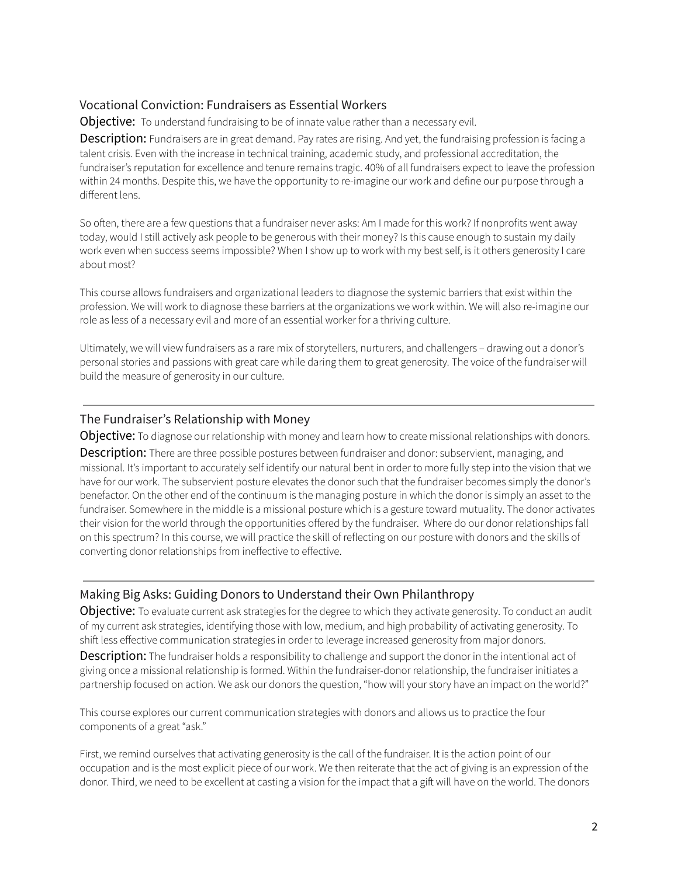# <span id="page-1-0"></span>Vocational Conviction: Fundraisers as Essential Workers

Objective: To understand fundraising to be of innate value rather than a necessary evil.

Description: Fundraisers are in great demand. Pay rates are rising. And yet, the fundraising profession is facing a talent crisis. Even with the increase in technical training, academic study, and professional accreditation, the fundraiser's reputation for excellence and tenure remains tragic. 40% of all fundraisers expect to leave the profession within 24 months. Despite this, we have the opportunity to re-imagine our work and define our purpose through a different lens.

So often, there are a few questions that a fundraiser never asks: Am I made for this work? If nonprofits went away today, would I still actively ask people to be generous with their money? Is this cause enough to sustain my daily work even when success seems impossible? When I show up to work with my best self, is it others generosity I care about most?

This course allows fundraisers and organizational leaders to diagnose the systemic barriers that exist within the profession. We will work to diagnose these barriers at the organizations we work within. We will also re-imagine our role as less of a necessary evil and more of an essential worker for a thriving culture.

Ultimately, we will view fundraisers as a rare mix of storytellers, nurturers, and challengers – drawing out a donor's personal stories and passions with great care while daring them to great generosity. The voice of the fundraiser will build the measure of generosity in our culture.

### <span id="page-1-1"></span>The Fundraiser's Relationship with Money

Objective: To diagnose our relationship with money and learn how to create missional relationships with donors.

**Description:** There are three possible postures between fundraiser and donor: subservient, managing, and missional. It's important to accurately self identify our natural bent in order to more fully step into the vision that we have for our work. The subservient posture elevates the donor such that the fundraiser becomes simply the donor's benefactor. On the other end of the continuum is the managing posture in which the donor is simply an asset to the fundraiser. Somewhere in the middle is a missional posture which is a gesture toward mutuality. The donor activates their vision for the world through the opportunities offered by the fundraiser. Where do our donor relationships fall on this spectrum? In this course, we will practice the skill of reflecting on our posture with donors and the skills of converting donor relationships from ineffective to effective.

#### <span id="page-1-2"></span>Making Big Asks: Guiding Donors to Understand their Own Philanthropy

**Objective:** To evaluate current ask strategies for the degree to which they activate generosity. To conduct an audit of my current ask strategies, identifying those with low, medium, and high probability of activating generosity. To shift less effective communication strategies in order to leverage increased generosity from major donors.

Description: The fundraiser holds a responsibility to challenge and support the donor in the intentional act of giving once a missional relationship is formed. Within the fundraiser-donor relationship, the fundraiser initiates a partnership focused on action. We ask our donors the question, "how will your story have an impact on the world?"

This course explores our current communication strategies with donors and allows us to practice the four components of a great "ask."

First, we remind ourselves that activating generosity is the call of the fundraiser. It is the action point of our occupation and is the most explicit piece of our work. We then reiterate that the act of giving is an expression of the donor. Third, we need to be excellent at casting a vision for the impact that a gift will have on the world. The donors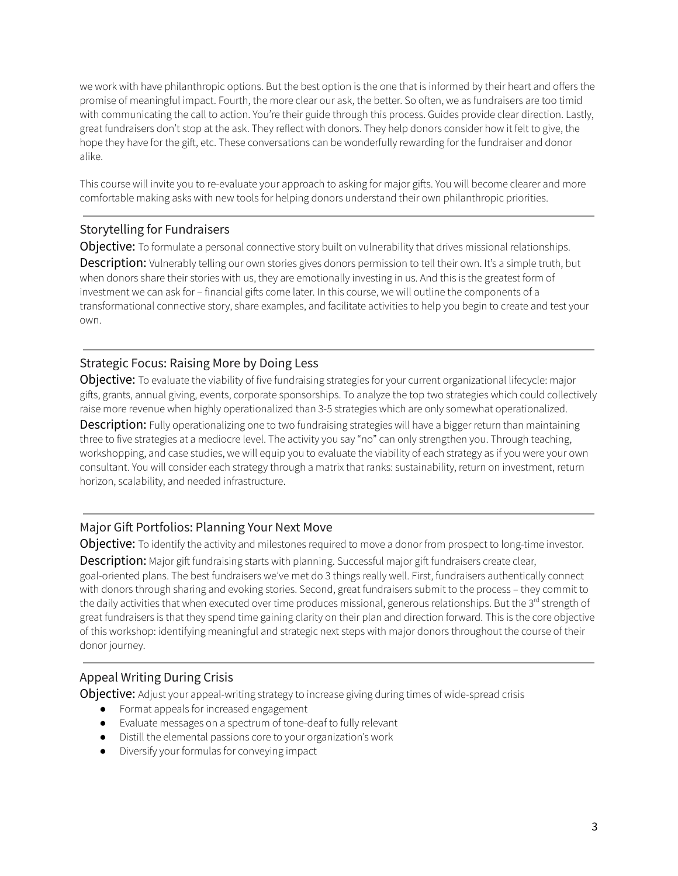we work with have philanthropic options. But the best option is the one that is informed by their heart and offers the promise of meaningful impact. Fourth, the more clear our ask, the better. So often, we as fundraisers are too timid with communicating the call to action. You're their guide through this process. Guides provide clear direction. Lastly, great fundraisers don't stop at the ask. They reflect with donors. They help donors consider how it felt to give, the hope they have for the gift, etc. These conversations can be wonderfully rewarding for the fundraiser and donor alike.

This course will invite you to re-evaluate your approach to asking for major gifts. You will become clearer and more comfortable making asks with new tools for helping donors understand their own philanthropic priorities.

### <span id="page-2-0"></span>Storytelling for Fundraisers

**Objective:** To formulate a personal connective story built on vulnerability that drives missional relationships.

Description: Vulnerably telling our own stories gives donors permission to tell their own. It's a simple truth, but when donors share their stories with us, they are emotionally investing in us. And this is the greatest form of investment we can ask for – financial gifts come later. In this course, we will outline the components of a transformational connective story, share examples, and facilitate activities to help you begin to create and test your own.

# <span id="page-2-1"></span>Strategic Focus: Raising More by Doing Less

Objective: To evaluate the viability of five fundraising strategies for your current organizational lifecycle: major gifts, grants, annual giving, events, corporate sponsorships. To analyze the top two strategies which could collectively raise more revenue when highly operationalized than 3-5 strategies which are only somewhat operationalized.

**Description:** Fully operationalizing one to two fundraising strategies will have a bigger return than maintaining three to five strategies at a mediocre level. The activity you say "no" can only strengthen you. Through teaching, workshopping, and case studies, we will equip you to evaluate the viability of each strategy as if you were your own consultant. You will consider each strategy through a matrix that ranks: sustainability, return on investment, return horizon, scalability, and needed infrastructure.

# <span id="page-2-2"></span>Major Gift Portfolios: Planning Your Next Move

Objective: To identify the activity and milestones required to move a donor from prospect to long-time investor. Description: Major gift fundraising starts with planning. Successful major gift fundraisers create clear, goal-oriented plans. The best fundraisers we've met do 3 things really well. First, fundraisers authentically connect with donors through sharing and evoking stories. Second, great fundraisers submit to the process – they commit to the daily activities that when executed over time produces missional, generous relationships. But the 3<sup>rd</sup> strength of great fundraisers is that they spend time gaining clarity on their plan and direction forward. This is the core objective of this workshop: identifying meaningful and strategic next steps with major donors throughout the course of their

# <span id="page-2-3"></span>Appeal Writing During Crisis

donor journey.

**Objective:** Adjust your appeal-writing strategy to increase giving during times of wide-spread crisis

- Format appeals for increased engagement
- Evaluate messages on a spectrum of tone-deaf to fully relevant
- Distill the elemental passions core to your organization's work
- Diversify your formulas for conveying impact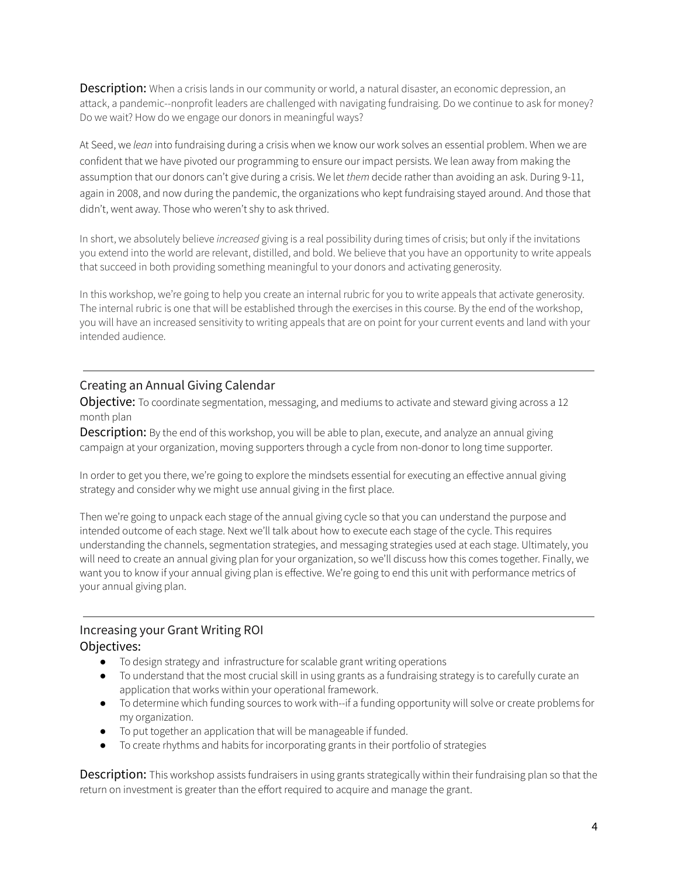**Description:** When a crisis lands in our community or world, a natural disaster, an economic depression, an attack, a pandemic--nonprofit leaders are challenged with navigating fundraising. Do we continue to ask for money? Do we wait? How do we engage our donors in meaningful ways?

At Seed, we *lean* into fundraising during a crisis when we know our work solves an essential problem. When we are confident that we have pivoted our programming to ensure our impact persists. We lean away from making the assumption that our donors can't give during a crisis. We let *them* decide rather than avoiding an ask. During 9-11, again in 2008, and now during the pandemic, the organizations who kept fundraising stayed around. And those that didn't, went away. Those who weren't shy to ask thrived.

In short, we absolutely believe *increased* giving is a real possibility during times of crisis; but only if the invitations you extend into the world are relevant, distilled, and bold. We believe that you have an opportunity to write appeals that succeed in both providing something meaningful to your donors and activating generosity.

In this workshop, we're going to help you create an internal rubric for you to write appeals that activate generosity. The internal rubric is one that will be established through the exercises in this course. By the end of the workshop, you will have an increased sensitivity to writing appeals that are on point for your current events and land with your intended audience.

### <span id="page-3-0"></span>Creating an Annual Giving Calendar

**Objective:** To coordinate segmentation, messaging, and mediums to activate and steward giving across a 12 month plan

**Description:** By the end of this workshop, you will be able to plan, execute, and analyze an annual giving campaign at your organization, moving supporters through a cycle from non-donor to long time supporter.

In order to get you there, we're going to explore the mindsets essential for executing an effective annual giving strategy and consider why we might use annual giving in the first place.

Then we're going to unpack each stage of the annual giving cycle so that you can understand the purpose and intended outcome of each stage. Next we'll talk about how to execute each stage of the cycle. This requires understanding the channels, segmentation strategies, and messaging strategies used at each stage. Ultimately, you will need to create an annual giving plan for your organization, so we'll discuss how this comes together. Finally, we want you to know if your annual giving plan is effective. We're going to end this unit with performance metrics of your annual giving plan.

### <span id="page-3-1"></span>Increasing your Grant Writing ROI Objectives:

- To design strategy and infrastructure for scalable grant writing operations
- To understand that the most crucial skill in using grants as a fundraising strategy is to carefully curate an application that works within your operational framework.
- To determine which funding sources to work with--if a funding opportunity will solve or create problems for my organization.
- To put together an application that will be manageable if funded.
- To create rhythms and habits for incorporating grants in their portfolio of strategies

**Description:** This workshop assists fundraisers in using grants strategically within their fundraising plan so that the return on investment is greater than the effort required to acquire and manage the grant.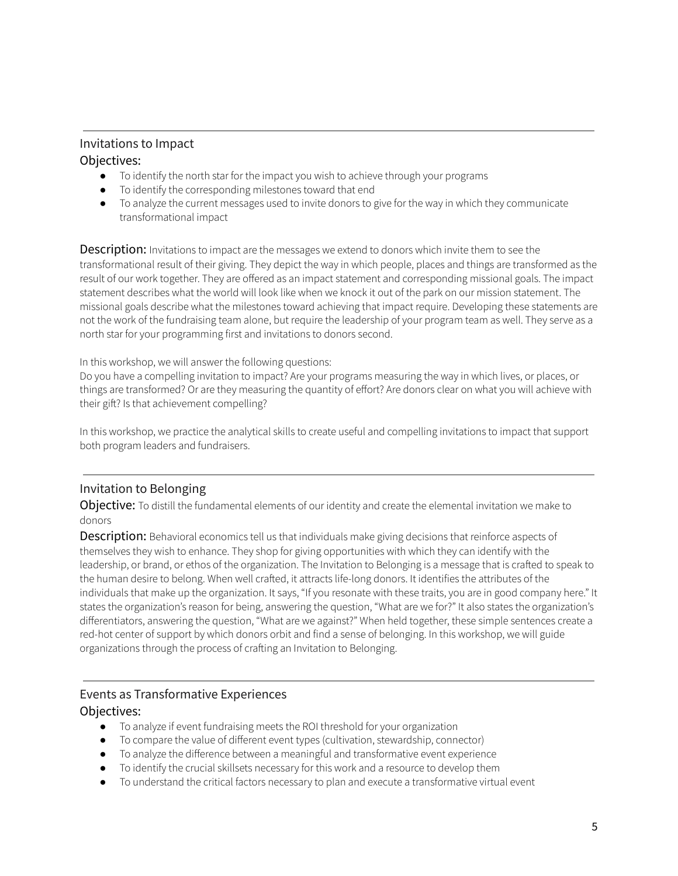# <span id="page-4-0"></span>Invitations to Impact

# Objectives:

- To identify the north star for the impact you wish to achieve through your programs
- To identify the corresponding milestones toward that end
- To analyze the current messages used to invite donors to give for the way in which they communicate transformational impact

**Description:** Invitations to impact are the messages we extend to donors which invite them to see the transformational result of their giving. They depict the way in which people, places and things are transformed as the result of our work together. They are offered as an impact statement and corresponding missional goals. The impact statement describes what the world will look like when we knock it out of the park on our mission statement. The missional goals describe what the milestones toward achieving that impact require. Developing these statements are not the work of the fundraising team alone, but require the leadership of your program team as well. They serve as a north star for your programming first and invitations to donors second.

In this workshop, we will answer the following questions:

Do you have a compelling invitation to impact? Are your programs measuring the way in which lives, or places, or things are transformed? Or are they measuring the quantity of effort? Are donors clear on what you will achieve with their gift? Is that achievement compelling?

In this workshop, we practice the analytical skills to create useful and compelling invitations to impact that support both program leaders and fundraisers.

# <span id="page-4-1"></span>Invitation to Belonging

Objective: To distill the fundamental elements of our identity and create the elemental invitation we make to donors

**Description:** Behavioral economics tell us that individuals make giving decisions that reinforce aspects of themselves they wish to enhance. They shop for giving opportunities with which they can identify with the leadership, or brand, or ethos of the organization. The Invitation to Belonging is a message that is crafted to speak to the human desire to belong. When well crafted, it attracts life-long donors. It identifies the attributes of the individuals that make up the organization. It says, "If you resonate with these traits, you are in good company here." It states the organization's reason for being, answering the question, "What are we for?" It also states the organization's differentiators, answering the question, "What are we against?" When held together, these simple sentences create a red-hot center of support by which donors orbit and find a sense of belonging. In this workshop, we will guide organizations through the process of crafting an Invitation to Belonging.

# <span id="page-4-2"></span>Events as Transformative Experiences Objectives:

- To analyze if event fundraising meets the ROI threshold for your organization
- To compare the value of different event types (cultivation, stewardship, connector)
- To analyze the difference between a meaningful and transformative event experience
- To identify the crucial skillsets necessary for this work and a resource to develop them
- To understand the critical factors necessary to plan and execute a transformative virtual event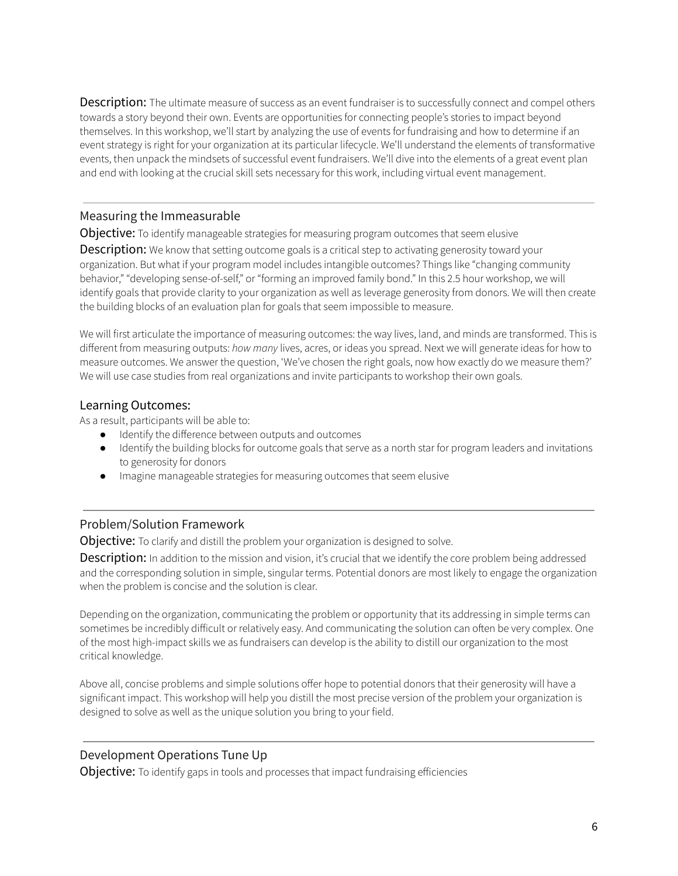**Description:** The ultimate measure of success as an event fundraiser is to successfully connect and compel others towards a story beyond their own. Events are opportunities for connecting people's stories to impact beyond themselves. In this workshop, we'll start by analyzing the use of events for fundraising and how to determine if an event strategy is right for your organization at its particular lifecycle. We'll understand the elements of transformative events, then unpack the mindsets of successful event fundraisers. We'll dive into the elements of a great event plan and end with looking at the crucial skill sets necessary for this work, including virtual event management.

### <span id="page-5-0"></span>Measuring the Immeasurable

Objective: To identify manageable strategies for measuring program outcomes that seem elusive

**Description:** We know that setting outcome goals is a critical step to activating generosity toward your organization. But what if your program model includes intangible outcomes? Things like "changing community behavior," "developing sense-of-self," or "forming an improved family bond." In this 2.5 hour workshop, we will identify goals that provide clarity to your organization as well as leverage generosity from donors. We will then create the building blocks of an evaluation plan for goals that seem impossible to measure.

We will first articulate the importance of measuring outcomes: the way lives, land, and minds are transformed. This is different from measuring outputs: *how many* lives, acres, or ideas you spread. Next we will generate ideas for how to measure outcomes. We answer the question, 'We've chosen the right goals, now how exactly do we measure them?' We will use case studies from real organizations and invite participants to workshop their own goals.

### Learning Outcomes:

As a result, participants will be able to:

- Identify the difference between outputs and outcomes
- Identify the building blocks for outcome goals that serve as a north star for program leaders and invitations to generosity for donors
- Imagine manageable strategies for measuring outcomes that seem elusive

### <span id="page-5-1"></span>Problem/Solution Framework

Objective: To clarify and distill the problem your organization is designed to solve.

**Description:** In addition to the mission and vision, it's crucial that we identify the core problem being addressed and the corresponding solution in simple, singular terms. Potential donors are most likely to engage the organization when the problem is concise and the solution is clear.

Depending on the organization, communicating the problem or opportunity that its addressing in simple terms can sometimes be incredibly difficult or relatively easy. And communicating the solution can often be very complex. One of the most high-impact skills we as fundraisers can develop is the ability to distill our organization to the most critical knowledge.

Above all, concise problems and simple solutions offer hope to potential donors that their generosity will have a significant impact. This workshop will help you distill the most precise version of the problem your organization is designed to solve as well as the unique solution you bring to your field.

### <span id="page-5-2"></span>Development Operations Tune Up

Objective: To identify gaps in tools and processes that impact fundraising efficiencies